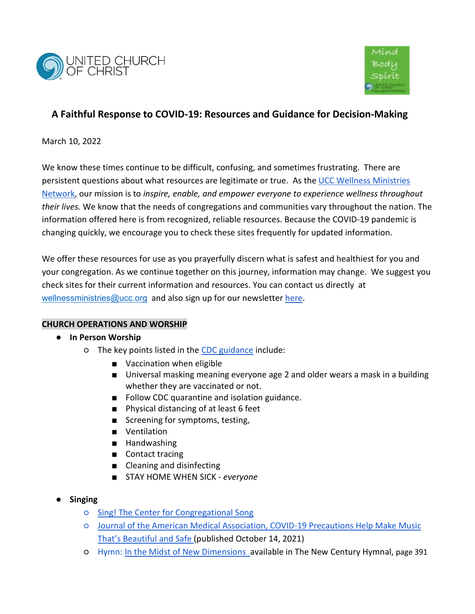



# **A Faithful Response to COVID-19: Resources and Guidance for Decision-Making**

March 10, 2022

We know these times continue to be difficult, confusing, and sometimes frustrating. There are persistent questions about what resources are legitimate or true. As th[e UCC Wellness Ministries](https://www.ucc.org/what-we-do/justice-local-church-ministries/justice/health-and-wholeness-advocacy-ministries/health-care-justice/justice_health_ucc-community-nurses/)  [Network,](https://www.ucc.org/what-we-do/justice-local-church-ministries/justice/health-and-wholeness-advocacy-ministries/health-care-justice/justice_health_ucc-community-nurses/) our mission is to *inspire, enable, and empower everyone to experience wellness throughout their lives.* We know that the needs of congregations and communities vary throughout the nation. The information offered here is from recognized, reliable resources. Because the COVID-19 pandemic is changing quickly, we encourage you to check these sites frequently for updated information.

We offer these resources for use as you prayerfully discern what is safest and healthiest for you and your congregation. As we continue together on this journey, information may change. We suggest you check sites for their current information and resources. You can contact us directly at [wellnessministries@ucc.org](mailto:wellnessministries@ucc.org) and also sign up for our newslette[r here.](https://www.ucc.org/what-we-do/justice-local-church-ministries/justice/health-and-wholeness-advocacy-ministries/health-care-justice/justice_health_ucc-community-nurses/)

## **CHURCH OPERATIONS AND WORSHIP**

## ● **In Person Worship**

- o The key points listed in the [CDC guidance](https://www.cdc.gov/coronavirus/2019-ncov/prevent-getting-sick/prevention.html) include:
	- Vaccination when eligible
	- Universal masking meaning everyone age 2 and older wears a mask in a building whether they are vaccinated or not.
	- Follow CDC quarantine and isolation guidance.
	- Physical distancing of at least 6 feet
	- Screening for symptoms, testing,
	- Ventilation
	- Handwashing
	- Contact tracing
	- Cleaning and disinfecting
	- STAY HOME WHEN SICK *everyone*
- **Singing**
	- [Sing! The Center for Congregational Song](https://congregationalsong.org/covid-19-nfhs-study-update/?fbclid=IwAR3fj5g-VOFpN1DQfBhTMNButH6GRaKyMMHkXQfmvoRWMNzOeK_VL22dylA)
	- [Journal of the American Medical Association, COVID-19 Precautions Help Make Music](https://jamanetwork.com/journals/jama/fullarticle/2785304)  [That's Beautiful and Safe \(published October 14, 2021\)](https://jamanetwork.com/journals/jama/fullarticle/2785304)
	- Hymn[: In the Midst of New Dimensions](https://www.youtube.com/watch?v=LPBp1PWzRzU) available in The New Century Hymnal, page 391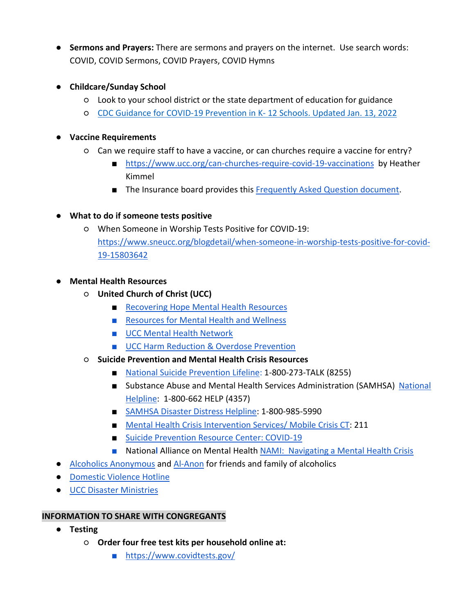- **Sermons and Prayers:** There are sermons and prayers on the internet. Use search words: COVID, COVID Sermons, COVID Prayers, COVID Hymns
- **Childcare/Sunday School**
	- Look to your school district or the state department of education for guidance
	- [CDC Guidance for COVID-19 Prevention in K-](https://www.cdc.gov/coronavirus/2019-ncov/community/schools-childcare/k-12-guidance.html) 12 Schools. Updated Jan. 13, 2022

## ● **Vaccine Requirements**

- Can we require staff to have a vaccine, or can churches require a vaccine for entry?
	- <https://www.ucc.org/can-churches-require-covid-19-vaccinations>by Heather Kimmel
	- The Insurance board provides this [Frequently Asked Question document.](https://www.insuranceboard.org/wp-content/uploads/2021/03/ALL-PHASES-COVID-19-Liability-FAQ-Insurance-Board21.pdf)
- **What to do if someone tests positive**
	- When Someone in Worship Tests Positive for COVID-19: [https://www.sneucc.org/blogdetail/when-someone-in-worship-tests-positive-for-covid-](https://www.sneucc.org/blogdetail/when-someone-in-worship-tests-positive-for-covid-19-15803642)[19-15803642](https://www.sneucc.org/blogdetail/when-someone-in-worship-tests-positive-for-covid-19-15803642)
- **Mental Health Resources**
	- **United Church of Christ (UCC)**
		- [Recovering Hope Mental Health Resources](https://www.ucc.org/what-we-do/wider-church-ministries/global-hope/recovering-hope/recovering_hope_mental_health_resources/)
		- [Resources for Mental Health and Wellness](https://www.ucc.org/worship-way/hwa_covid_resources_for_mental_health_and_wellness/)
		- [UCC Mental Health Network](http://www.mhn-ucc.org/)
		- [UCC Harm Reduction & Overdose Prevention](https://www.ucc.org/what-we-do/justice-local-church-ministries/justice/health-and-wholeness-advocacy-ministries/overdose_and_drug_use_ministries/)
	- **Suicide Prevention and Mental Health Crisis Resources**
		- [National Suicide Prevention Lifeline:](https://suicidepreventionlifeline.org/) 1-800-273-TALK (8255)
		- Substance Abuse and Mental Health Services Administration (SAMHSA) National [Helpline:](https://www.samhsa.gov/find-help/national-helpline) 1-800-662 HELP (4357)
		- [SAMHSA Disaster Distress Helpline:](https://www.samhsa.gov/find-help/disaster-distress-helpline) 1-800-985-5990
		- [Mental Health Crisis Intervention Services/ Mobile Crisis CT:](https://portal.ct.gov/DMHAS/CMHC/Services/CMHC-Mobile-Crisis-Intervention-and-Evaluation) 211
		- [Suicide Prevention Resource Center: COVID-19](https://www.sprc.org/covid19)
		- National Alliance on Mental Health [NAMI: Navigating a Mental Health Crisis](https://www.nami.org/Support-Education/Publications-Reports/Guides/Navigating-a-Mental-Health-Crisis)
- [Alcoholics Anonymous](https://www.aa.org/) an[d Al-Anon](https://al-anon.org/) for friends and family of alcoholics
- **[Domestic Violence Hotline](https://www.thehotline.org/)**
- [UCC Disaster Ministries](https://www.ucc.org/what-we-do/wider-church-ministries/global-hope/disaster/)

## **INFORMATION TO SHARE WITH CONGREGANTS**

- **Testing**
	- **Order four free test kits per household online at:**
		- <https://www.covidtests.gov/>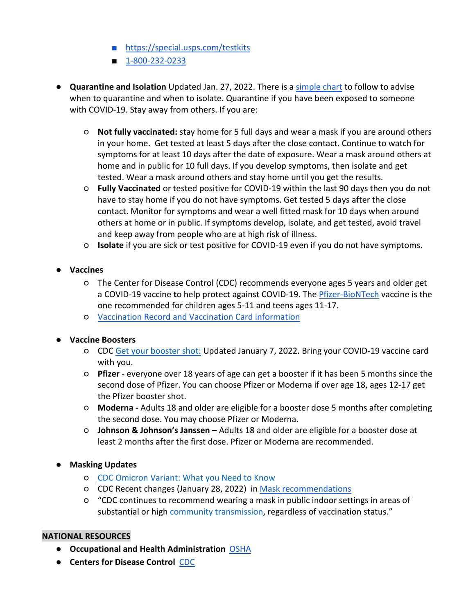- <https://special.usps.com/testkits>
- [1-800-232-0233](tel:1-800-232-0233)
- **Quarantine and Isolation** Updated Jan. 27, 2022. There is a [simple chart](https://www.cdc.gov/coronavirus/2019-ncov/your-health/quarantine-isolation.html) to follow to advise when to quarantine and when to isolate. Quarantine if you have been exposed to someone with COVID-19. Stay away from others. If you are:
	- **Not fully vaccinated:** stay home for 5 full days and wear a mask if you are around others in your home. Get tested at least 5 days after the close contact. Continue to watch for symptoms for at least 10 days after the date of exposure. Wear a mask around others at home and in public for 10 full days. If you develop symptoms, then isolate and get tested. Wear a mask around others and stay home until you get the results.
	- **Fully Vaccinated** or tested positive for COVID-19 within the last 90 days then you do not have to stay home if you do not have symptoms. Get tested 5 days after the close contact. Monitor for symptoms and wear a well fitted mask for 10 days when around others at home or in public. If symptoms develop, isolate, and get tested, avoid travel and keep away from people who are at high risk of illness.
	- **Isolate** if you are sick or test positive for COVID-19 even if you do not have symptoms.

## ● **Vaccines**

- The Center for Disease Control (CDC) recommends everyone ages 5 years and older get a COVID-19 vaccine **t**o help protect against COVID-19. The [Pfizer-BioNTech](ttps://www.cdc.gov/coronavirus/2019-ncov/vaccines/recommendations/children-teens.html) vaccine is the one recommended for children ages 5-11 and teens ages 11-17.
- [Vaccination Record and Vaccination Card information](https://www.cdc.gov/coronavirus/2019-ncov/vaccines/vaccination-card.html)

## ● **Vaccine Boosters**

- CDC [Get your booster shot:](https://www.cdc.gov/coronavirus/2019-ncov/vaccines/booster-shot.html) Updated January 7, 2022. Bring your COVID-19 vaccine card with you.
- **Pfizer** everyone over 18 years of age can get a booster if it has been 5 months since the second dose of Pfizer. You can choose Pfizer or Moderna if over age 18, ages 12-17 get the Pfizer booster shot.
- **Moderna -** Adults 18 and older are eligible for a booster dose 5 months after completing the second dose. You may choose Pfizer or Moderna.
- **Johnson & Johnson's Janssen –** Adults 18 and older are eligible for a booster dose at least 2 months after the first dose. Pfizer or Moderna are recommended.

## ● **Masking Updates**

- [CDC Omicron Variant: What you Need to Know](https://www.cdc.gov/coronavirus/2019-ncov/variants/omicron-variant.html)
- CDC Recent changes (January 28, 2022) in [Mask recommendations](https://www.cdc.gov/coronavirus/2019-ncov/prevent-getting-sick/types-of-masks.html)
- "CDC continues to recommend wearing a mask in public indoor settings in areas of substantial or high [community transmission,](https://covid.cdc.gov/covid-data-tracker/#county-view) regardless of vaccination status."

### **NATIONAL RESOURCES**

- **Occupational and Health Administration** [OSHA](https://www.osha.gov/coronavirus)
- **Centers for Disease Control** [CDC](http://cdc.gov/coronavirus/2019)